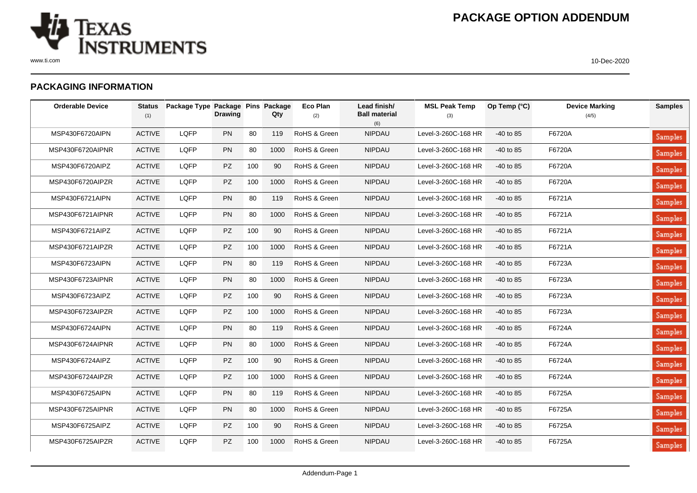

## **PACKAGING INFORMATION**

| <b>Orderable Device</b> | <b>Status</b><br>(1) | Package Type Package Pins Package | <b>Drawing</b> |     | Qty  | <b>Eco Plan</b><br>(2) | Lead finish/<br><b>Ball material</b><br>(6) | <b>MSL Peak Temp</b><br>(3) | Op Temp (°C) | <b>Device Marking</b><br>(4/5) | <b>Samples</b> |
|-------------------------|----------------------|-----------------------------------|----------------|-----|------|------------------------|---------------------------------------------|-----------------------------|--------------|--------------------------------|----------------|
| MSP430F6720AIPN         | <b>ACTIVE</b>        | LQFP                              | PN             | 80  | 119  | RoHS & Green           | <b>NIPDAU</b>                               | Level-3-260C-168 HR         | $-40$ to 85  | F6720A                         | Samples        |
| MSP430F6720AIPNR        | <b>ACTIVE</b>        | LQFP                              | PN             | 80  | 1000 | RoHS & Green           | <b>NIPDAU</b>                               | Level-3-260C-168 HR         | $-40$ to 85  | F6720A                         | <b>Samples</b> |
| MSP430F6720AIPZ         | <b>ACTIVE</b>        | LQFP                              | PZ             | 100 | 90   | RoHS & Green           | <b>NIPDAU</b>                               | Level-3-260C-168 HR         | $-40$ to 85  | F6720A                         | Samples        |
| MSP430F6720AIPZR        | <b>ACTIVE</b>        | LQFP                              | PZ             | 100 | 1000 | RoHS & Green           | <b>NIPDAU</b>                               | Level-3-260C-168 HR         | $-40$ to 85  | F6720A                         | Samples        |
| MSP430F6721AIPN         | <b>ACTIVE</b>        | LQFP                              | PN             | 80  | 119  | RoHS & Green           | <b>NIPDAU</b>                               | Level-3-260C-168 HR         | $-40$ to 85  | F6721A                         | <b>Samples</b> |
| MSP430F6721AIPNR        | <b>ACTIVE</b>        | LQFP                              | PN             | 80  | 1000 | RoHS & Green           | <b>NIPDAU</b>                               | Level-3-260C-168 HR         | $-40$ to 85  | F6721A                         | <b>Samples</b> |
| MSP430F6721AIPZ         | <b>ACTIVE</b>        | LQFP                              | PZ             | 100 | 90   | RoHS & Green           | <b>NIPDAU</b>                               | Level-3-260C-168 HR         | $-40$ to 85  | F6721A                         | Samples        |
| MSP430F6721AIPZR        | <b>ACTIVE</b>        | LQFP                              | PZ             | 100 | 1000 | RoHS & Green           | <b>NIPDAU</b>                               | Level-3-260C-168 HR         | $-40$ to 85  | F6721A                         | Samples        |
| MSP430F6723AIPN         | <b>ACTIVE</b>        | LQFP                              | PN             | 80  | 119  | RoHS & Green           | <b>NIPDAU</b>                               | Level-3-260C-168 HR         | $-40$ to 85  | F6723A                         | <b>Samples</b> |
| MSP430F6723AIPNR        | <b>ACTIVE</b>        | LQFP                              | PN             | 80  | 1000 | RoHS & Green           | <b>NIPDAU</b>                               | Level-3-260C-168 HR         | $-40$ to 85  | F6723A                         | <b>Samples</b> |
| MSP430F6723AIPZ         | <b>ACTIVE</b>        | LQFP                              | <b>PZ</b>      | 100 | 90   | RoHS & Green           | <b>NIPDAU</b>                               | Level-3-260C-168 HR         | $-40$ to 85  | F6723A                         | Samples        |
| MSP430F6723AIPZR        | <b>ACTIVE</b>        | LQFP                              | <b>PZ</b>      | 100 | 1000 | RoHS & Green           | <b>NIPDAU</b>                               | Level-3-260C-168 HR         | -40 to 85    | F6723A                         | <b>Samples</b> |
| MSP430F6724AIPN         | <b>ACTIVE</b>        | LQFP                              | PN             | 80  | 119  | RoHS & Green           | <b>NIPDAU</b>                               | Level-3-260C-168 HR         | $-40$ to 85  | F6724A                         | <b>Samples</b> |
| MSP430F6724AIPNR        | <b>ACTIVE</b>        | LQFP                              | PN             | 80  | 1000 | RoHS & Green           | <b>NIPDAU</b>                               | Level-3-260C-168 HR         | $-40$ to 85  | F6724A                         | Samples        |
| MSP430F6724AIPZ         | <b>ACTIVE</b>        | LQFP                              | PZ             | 100 | 90   | RoHS & Green           | <b>NIPDAU</b>                               | Level-3-260C-168 HR         | $-40$ to 85  | F6724A                         | Samples        |
| MSP430F6724AIPZR        | <b>ACTIVE</b>        | LQFP                              | PZ             | 100 | 1000 | RoHS & Green           | <b>NIPDAU</b>                               | Level-3-260C-168 HR         | $-40$ to 85  | F6724A                         | Samples        |
| MSP430F6725AIPN         | <b>ACTIVE</b>        | LQFP                              | PN             | 80  | 119  | RoHS & Green           | <b>NIPDAU</b>                               | Level-3-260C-168 HR         | $-40$ to 85  | F6725A                         | <b>Samples</b> |
| MSP430F6725AIPNR        | <b>ACTIVE</b>        | LQFP                              | PN             | 80  | 1000 | RoHS & Green           | <b>NIPDAU</b>                               | Level-3-260C-168 HR         | $-40$ to 85  | F6725A                         | Samples        |
| MSP430F6725AIPZ         | <b>ACTIVE</b>        | LQFP                              | <b>PZ</b>      | 100 | 90   | RoHS & Green           | <b>NIPDAU</b>                               | Level-3-260C-168 HR         | $-40$ to 85  | F6725A                         | Samples        |
| MSP430F6725AIPZR        | <b>ACTIVE</b>        | LQFP                              | <b>PZ</b>      | 100 | 1000 | RoHS & Green           | <b>NIPDAU</b>                               | Level-3-260C-168 HR         | $-40$ to 85  | F6725A                         | <b>Samples</b> |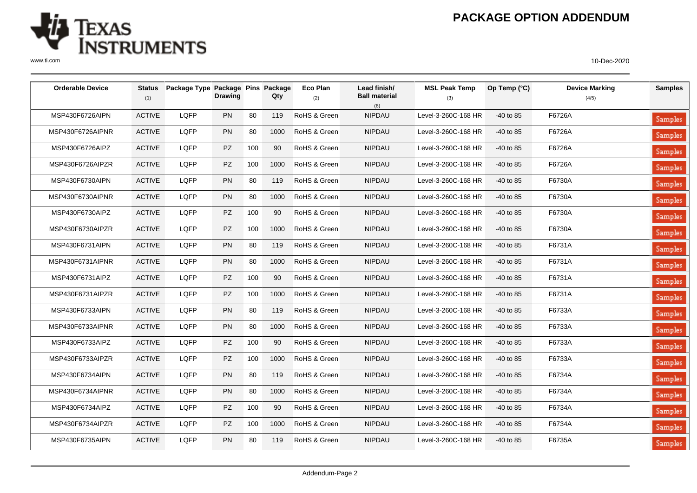

## **PACKAGE OPTION ADDENDUM**

| <b>Orderable Device</b> | <b>Status</b><br>(1) | Package Type Package Pins Package | <b>Drawing</b> |     | Qty  | Eco Plan<br>(2) | Lead finish/<br><b>Ball material</b><br>(6) | <b>MSL Peak Temp</b><br>(3) | Op Temp (°C) | <b>Device Marking</b><br>(4/5) | <b>Samples</b> |
|-------------------------|----------------------|-----------------------------------|----------------|-----|------|-----------------|---------------------------------------------|-----------------------------|--------------|--------------------------------|----------------|
| MSP430F6726AIPN         | <b>ACTIVE</b>        | LQFP                              | PN             | 80  | 119  | RoHS & Green    | NIPDAU                                      | Level-3-260C-168 HR         | $-40$ to 85  | F6726A                         | Samples        |
| MSP430F6726AIPNR        | <b>ACTIVE</b>        | LQFP                              | PN             | 80  | 1000 | RoHS & Green    | NIPDAU                                      | Level-3-260C-168 HR         | $-40$ to 85  | F6726A                         | Samples        |
| MSP430F6726AIPZ         | <b>ACTIVE</b>        | LQFP                              | PZ             | 100 | 90   | RoHS & Green    | <b>NIPDAU</b>                               | Level-3-260C-168 HR         | $-40$ to 85  | F6726A                         | Samples        |
| MSP430F6726AIPZR        | <b>ACTIVE</b>        | LQFP                              | PZ             | 100 | 1000 | RoHS & Green    | <b>NIPDAU</b>                               | Level-3-260C-168 HR         | $-40$ to 85  | F6726A                         | Samples        |
| MSP430F6730AIPN         | <b>ACTIVE</b>        | LQFP                              | PN             | 80  | 119  | RoHS & Green    | <b>NIPDAU</b>                               | Level-3-260C-168 HR         | $-40$ to 85  | F6730A                         | Samples        |
| MSP430F6730AIPNR        | <b>ACTIVE</b>        | LQFP                              | PN             | 80  | 1000 | RoHS & Green    | <b>NIPDAU</b>                               | Level-3-260C-168 HR         | $-40$ to 85  | F6730A                         | Samples        |
| MSP430F6730AIPZ         | <b>ACTIVE</b>        | LQFP                              | PZ             | 100 | 90   | RoHS & Green    | <b>NIPDAU</b>                               | Level-3-260C-168 HR         | $-40$ to 85  | F6730A                         | Samples        |
| MSP430F6730AIPZR        | <b>ACTIVE</b>        | LQFP                              | <b>PZ</b>      | 100 | 1000 | RoHS & Green    | <b>NIPDAU</b>                               | Level-3-260C-168 HR         | $-40$ to 85  | F6730A                         | Samples        |
| MSP430F6731AIPN         | <b>ACTIVE</b>        | LQFP                              | PN             | 80  | 119  | RoHS & Green    | <b>NIPDAU</b>                               | Level-3-260C-168 HR         | $-40$ to 85  | F6731A                         | Samples        |
| MSP430F6731AIPNR        | <b>ACTIVE</b>        | LQFP                              | PN             | 80  | 1000 | RoHS & Green    | <b>NIPDAU</b>                               | Level-3-260C-168 HR         | $-40$ to 85  | F6731A                         | Samples        |
| MSP430F6731AIPZ         | <b>ACTIVE</b>        | LQFP                              | PZ             | 100 | 90   | RoHS & Green    | <b>NIPDAU</b>                               | Level-3-260C-168 HR         | $-40$ to 85  | F6731A                         | Samples        |
| MSP430F6731AIPZR        | <b>ACTIVE</b>        | LQFP                              | <b>PZ</b>      | 100 | 1000 | RoHS & Green    | <b>NIPDAU</b>                               | Level-3-260C-168 HR         | $-40$ to 85  | F6731A                         | Samples        |
| MSP430F6733AIPN         | <b>ACTIVE</b>        | LQFP                              | PN             | 80  | 119  | RoHS & Green    | NIPDAU                                      | Level-3-260C-168 HR         | $-40$ to 85  | F6733A                         | Samples        |
| MSP430F6733AIPNR        | <b>ACTIVE</b>        | LQFP                              | <b>PN</b>      | 80  | 1000 | RoHS & Green    | <b>NIPDAU</b>                               | Level-3-260C-168 HR         | $-40$ to 85  | F6733A                         | Samples        |
| MSP430F6733AIPZ         | <b>ACTIVE</b>        | LQFP                              | <b>PZ</b>      | 100 | 90   | RoHS & Green    | <b>NIPDAU</b>                               | Level-3-260C-168 HR         | $-40$ to 85  | F6733A                         | Samples        |
| MSP430F6733AIPZR        | <b>ACTIVE</b>        | LQFP                              | <b>PZ</b>      | 100 | 1000 | RoHS & Green    | NIPDAU                                      | Level-3-260C-168 HR         | $-40$ to 85  | F6733A                         | <b>Samples</b> |
| MSP430F6734AIPN         | <b>ACTIVE</b>        | LQFP                              | PN             | 80  | 119  | RoHS & Green    | NIPDAU                                      | Level-3-260C-168 HR         | $-40$ to 85  | F6734A                         | <b>Samples</b> |
| MSP430F6734AIPNR        | <b>ACTIVE</b>        | LQFP                              | PN             | 80  | 1000 | RoHS & Green    | <b>NIPDAU</b>                               | Level-3-260C-168 HR         | $-40$ to 85  | F6734A                         | Samples        |
| MSP430F6734AIPZ         | <b>ACTIVE</b>        | LQFP                              | PZ             | 100 | 90   | RoHS & Green    | NIPDAU                                      | Level-3-260C-168 HR         | $-40$ to 85  | F6734A                         | <b>Samples</b> |
| MSP430F6734AIPZR        | <b>ACTIVE</b>        | LQFP                              | <b>PZ</b>      | 100 | 1000 | RoHS & Green    | NIPDAU                                      | Level-3-260C-168 HR         | $-40$ to 85  | F6734A                         | Samples        |
| MSP430F6735AIPN         | <b>ACTIVE</b>        | LQFP                              | PN             | 80  | 119  | RoHS & Green    | <b>NIPDAU</b>                               | Level-3-260C-168 HR         | $-40$ to 85  | F6735A                         | <b>Samples</b> |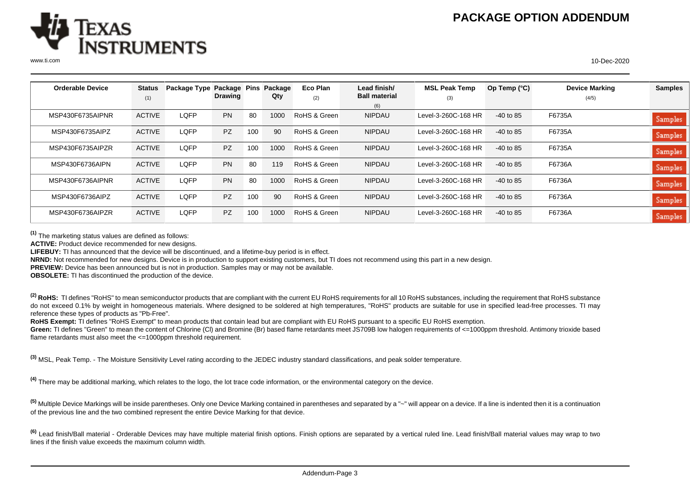

| <b>Orderable Device</b> | <b>Status</b> | Package Type Package Pins |                |     | Package | Eco Plan     | Lead finish/         | <b>MSL Peak Temp</b> | Op Temp (°C) | <b>Device Marking</b> | <b>Samples</b> |
|-------------------------|---------------|---------------------------|----------------|-----|---------|--------------|----------------------|----------------------|--------------|-----------------------|----------------|
|                         | (1)           |                           | <b>Drawing</b> |     | Qty     | (2)          | <b>Ball material</b> | (3)                  |              | (4/5)                 |                |
|                         |               |                           |                |     |         |              | (6)                  |                      |              |                       |                |
| MSP430F6735AIPNR        | <b>ACTIVE</b> | LQFP                      | <b>PN</b>      | 80  | 1000    | RoHS & Green | <b>NIPDAU</b>        | Level-3-260C-168 HR  | $-40$ to 85  | F6735A                | Samples        |
| MSP430F6735AIPZ         | <b>ACTIVE</b> | LQFP                      | PZ             | 100 | 90      | RoHS & Green | <b>NIPDAU</b>        | Level-3-260C-168 HR  | $-40$ to 85  | F6735A                | Samples        |
| MSP430F6735AIPZR        | <b>ACTIVE</b> | LQFP                      | <b>PZ</b>      | 100 | 1000    | RoHS & Green | <b>NIPDAU</b>        | Level-3-260C-168 HR  | $-40$ to 85  | F6735A                | Samples        |
| MSP430F6736AIPN         | <b>ACTIVE</b> | LQFP                      | <b>PN</b>      | 80  | 119     | RoHS & Green | <b>NIPDAU</b>        | Level-3-260C-168 HR  | $-40$ to 85  | F6736A                | Samples        |
| MSP430F6736AIPNR        | <b>ACTIVE</b> | LQFP                      | <b>PN</b>      | 80  | 1000    | RoHS & Green | <b>NIPDAU</b>        | Level-3-260C-168 HR  | $-40$ to 85  | F6736A                | Samples        |
| MSP430F6736AIPZ         | <b>ACTIVE</b> | LOFP                      | <b>PZ</b>      | 100 | 90      | RoHS & Green | <b>NIPDAU</b>        | Level-3-260C-168 HR  | $-40$ to 85  | F6736A                | Samples        |
| MSP430F6736AIPZR        | <b>ACTIVE</b> | LQFP                      | <b>PZ</b>      | 100 | 1000    | RoHS & Green | <b>NIPDAU</b>        | Level-3-260C-168 HR  | $-40$ to 85  | F6736A                | Samples        |

**(1)** The marketing status values are defined as follows:

**ACTIVE:** Product device recommended for new designs.

**LIFEBUY:** TI has announced that the device will be discontinued, and a lifetime-buy period is in effect.

**NRND:** Not recommended for new designs. Device is in production to support existing customers, but TI does not recommend using this part in a new design.

**PREVIEW:** Device has been announced but is not in production. Samples may or may not be available.

**OBSOLETE:** TI has discontinued the production of the device.

<sup>(2)</sup> RoHS: TI defines "RoHS" to mean semiconductor products that are compliant with the current EU RoHS requirements for all 10 RoHS substances, including the requirement that RoHS substance do not exceed 0.1% by weight in homogeneous materials. Where designed to be soldered at high temperatures, "RoHS" products are suitable for use in specified lead-free processes. TI may reference these types of products as "Pb-Free".

RoHS Exempt: TI defines "RoHS Exempt" to mean products that contain lead but are compliant with EU RoHS pursuant to a specific EU RoHS exemption.

Green: TI defines "Green" to mean the content of Chlorine (CI) and Bromine (Br) based flame retardants meet JS709B low halogen requirements of <=1000ppm threshold. Antimony trioxide based flame retardants must also meet the <=1000ppm threshold requirement.

**(3)** MSL, Peak Temp. - The Moisture Sensitivity Level rating according to the JEDEC industry standard classifications, and peak solder temperature.

**(4)** There may be additional marking, which relates to the logo, the lot trace code information, or the environmental category on the device.

**(5)** Multiple Device Markings will be inside parentheses. Only one Device Marking contained in parentheses and separated by a "~" will appear on a device. If a line is indented then it is a continuation of the previous line and the two combined represent the entire Device Marking for that device.

<sup>(6)</sup> Lead finish/Ball material - Orderable Devices may have multiple material finish options. Finish options are separated by a vertical ruled line. Lead finish/Ball material values may wrap to two lines if the finish value exceeds the maximum column width.